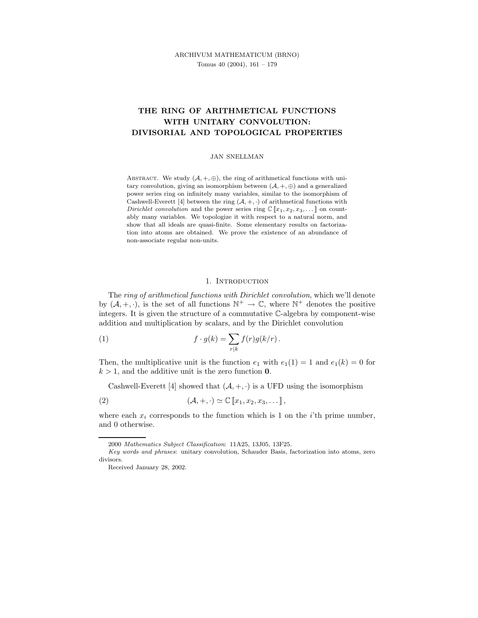# THE RING OF ARITHMETICAL FUNCTIONS WITH UNITARY CONVOLUTION: DIVISORIAL AND TOPOLOGICAL PROPERTIES

#### JAN SNELLMAN

ABSTRACT. We study  $(A, +, \oplus)$ , the ring of arithmetical functions with unitary convolution, giving an isomorphism between  $(A, +, \oplus)$  and a generalized power series ring on infinitely many variables, similar to the isomorphism of Cashwell-Everett [4] between the ring  $(A, +, \cdot)$  of arithmetical functions with Dirichlet convolution and the power series ring  $\mathbb{C} [x_1, x_2, x_3, \dots]$  on countably many variables. We topologize it with respect to a natural norm, and show that all ideals are quasi-finite. Some elementary results on factorization into atoms are obtained. We prove the existence of an abundance of non-associate regular non-units.

#### 1. Introduction

The ring of arithmetical functions with Dirichlet convolution, which we'll denote by  $(A, +, \cdot)$ , is the set of all functions  $\mathbb{N}^+ \to \mathbb{C}$ , where  $\mathbb{N}^+$  denotes the positive integers. It is given the structure of a commutative C-algebra by component-wise addition and multiplication by scalars, and by the Dirichlet convolution

(1) 
$$
f \cdot g(k) = \sum_{r|k} f(r)g(k/r).
$$

Then, the multiplicative unit is the function  $e_1$  with  $e_1(1) = 1$  and  $e_1(k) = 0$  for  $k > 1$ , and the additive unit is the zero function 0.

Cashwell-Everett [4] showed that  $(A, +, \cdot)$  is a UFD using the isomorphism

(2) 
$$
(\mathcal{A}, +, \cdot) \simeq \mathbb{C} \left[ x_1, x_2, x_3, \dots \right],
$$

where each  $x_i$  corresponds to the function which is 1 on the *i*'th prime number, and 0 otherwise.

<sup>2000</sup> Mathematics Subject Classification: 11A25, 13J05, 13F25.

Key words and phrases: unitary convolution, Schauder Basis, factorization into atoms, zero divisors.

Received January 28, 2002.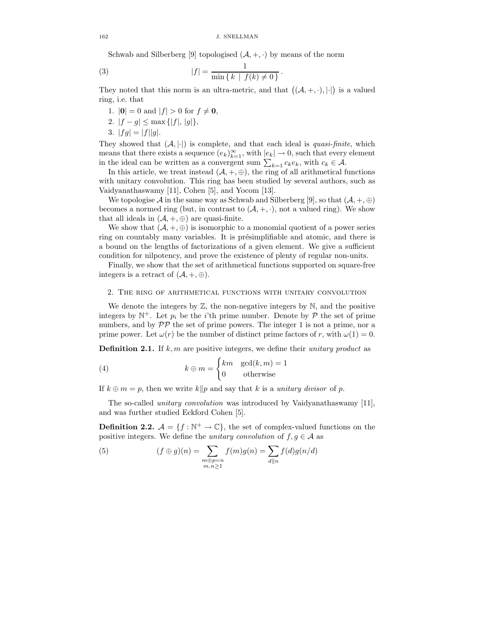Schwab and Silberberg [9] topologised  $(A, +, \cdot)$  by means of the norm

(3) 
$$
|f| = \frac{1}{\min\{k \mid f(k) \neq 0\}}.
$$

They noted that this norm is an ultra-metric, and that  $((A, +, \cdot), \lvert \cdot \rvert)$  is a valued ring, i.e. that

- 1.  $|0| = 0$  and  $|f| > 0$  for  $f \neq 0$ ,
- 2.  $|f g| \le \max\{|f|, |g|\},\$
- 3.  $|fg| = |f||g|$ .

They showed that  $(A, |\cdot|)$  is complete, and that each ideal is *quasi-finite*, which means that there exists a sequence  $(e_k)_{k=1}^{\infty}$ , with  $|e_k| \to 0$ , such that every element in the ideal can be written as a convergent sum  $\sum_{k=1} c_k e_k$ , with  $c_k \in \mathcal{A}$ .

In this article, we treat instead  $(\mathcal{A}, +, \oplus)$ , the ring of all arithmetical functions with unitary convolution. This ring has been studied by several authors, such as Vaidyanathaswamy [11], Cohen [5], and Yocom [13].

We topologise A in the same way as Schwab and Silberberg [9], so that  $(A, +, \oplus)$ becomes a normed ring (but, in contrast to  $(A, +, \cdot)$ , not a valued ring). We show that all ideals in  $(\mathcal{A}, +, \oplus)$  are quasi-finite.

We show that  $(A, +, \oplus)$  is isomorphic to a monomial quotient of a power series ring on countably many variables. It is présimplifiable and atomic, and there is a bound on the lengths of factorizations of a given element. We give a sufficient condition for nilpotency, and prove the existence of plenty of regular non-units.

Finally, we show that the set of arithmetical functions supported on square-free integers is a retract of  $(\mathcal{A}, +, \oplus)$ .

### 2. The ring of arithmetical functions with unitary convolution

We denote the integers by  $\mathbb{Z}$ , the non-negative integers by  $\mathbb{N}$ , and the positive integers by  $\mathbb{N}^+$ . Let  $p_i$  be the *i*'th prime number. Denote by  $P$  the set of prime numbers, and by  $\mathcal{PP}$  the set of prime powers. The integer 1 is not a prime, nor a prime power. Let  $\omega(r)$  be the number of distinct prime factors of r, with  $\omega(1) = 0$ .

**Definition 2.1.** If  $k, m$  are positive integers, we define their unitary product as

(4) 
$$
k \oplus m = \begin{cases} km & \gcd(k, m) = 1 \\ 0 & \text{otherwise} \end{cases}
$$

If  $k \oplus m = p$ , then we write  $k||p$  and say that k is a unitary divisor of p.

The so-called unitary convolution was introduced by Vaidyanathaswamy [11], and was further studied Eckford Cohen [5].

**Definition 2.2.**  $\mathcal{A} = \{f : \mathbb{N}^+ \to \mathbb{C}\}$ , the set of complex-valued functions on the positive integers. We define the unitary convolution of  $f, g \in A$  as

(5) 
$$
(f \oplus g)(n) = \sum_{\substack{m \oplus p = n \\ m, n \ge 1}} f(m)g(n) = \sum_{d \parallel n} f(d)g(n/d)
$$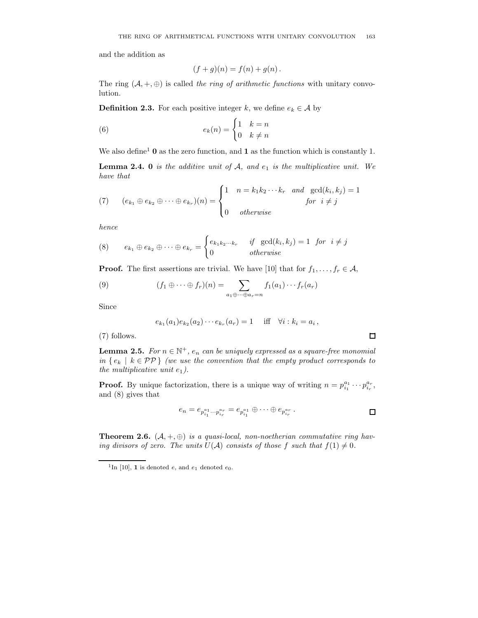and the addition as

$$
(f+g)(n) = f(n) + g(n).
$$

The ring  $(A, +, \oplus)$  is called the ring of arithmetic functions with unitary convolution.

**Definition 2.3.** For each positive integer k, we define  $e_k \in \mathcal{A}$  by

(6) 
$$
e_k(n) = \begin{cases} 1 & k = n \\ 0 & k \neq n \end{cases}
$$

We also define<sup>1</sup> **0** as the zero function, and **1** as the function which is constantly 1.

**Lemma 2.4. 0** is the additive unit of  $A$ , and  $e_1$  is the multiplicative unit. We have that

(7) 
$$
(e_{k_1} \oplus e_{k_2} \oplus \cdots \oplus e_{k_r})(n) = \begin{cases} 1 & n = k_1 k_2 \cdots k_r \quad and \quad \gcd(k_i, k_j) = 1 \\ 0 & otherwise \end{cases}
$$
 for  $i \neq j$ 

hence

(8) 
$$
e_{k_1} \oplus e_{k_2} \oplus \cdots \oplus e_{k_r} = \begin{cases} e_{k_1 k_2 \cdots k_r} & \text{if } \gcd(k_i, k_j) = 1 \text{ for } i \neq j \\ 0 & \text{otherwise} \end{cases}
$$

**Proof.** The first assertions are trivial. We have [10] that for  $f_1, \ldots, f_r \in \mathcal{A}$ ,

(9) 
$$
(f_1 \oplus \cdots \oplus f_r)(n) = \sum_{a_1 \oplus \cdots \oplus a_r = n} f_1(a_1) \cdots f_r(a_r)
$$

Since

$$
e_{k_1}(a_1)e_{k_2}(a_2)\cdots e_{k_r}(a_r) = 1
$$
 iff  $\forall i : k_i = a_i$ ,

(7) follows.

**Lemma 2.5.** For  $n \in \mathbb{N}^+$ ,  $e_n$  can be uniquely expressed as a square-free monomial in  $\{e_k \mid k \in \mathcal{PP}\}\$  (we use the convention that the empty product corresponds to the multiplicative unit  $e_1$ ).

**Proof.** By unique factorization, there is a unique way of writing  $n = p_{i_1}^{a_1} \cdots p_{i_r}^{a_r}$ , and (8) gives that

$$
e_n = e_{p_{i_1}^{a_1} \cdots p_{i_r}^{a_r}} = e_{p_{i_1}^{a_1}} \oplus \cdots \oplus e_{p_{i_r}^{a_r}}.
$$

 $\Box$ 

**Theorem 2.6.**  $(A, +, \oplus)$  is a quasi-local, non-noetherian commutative ring having divisors of zero. The units  $U(\mathcal{A})$  consists of those f such that  $f(1) \neq 0$ .

<sup>&</sup>lt;sup>1</sup>In [10], **1** is denoted  $e$ , and  $e_1$  denoted  $e_0$ .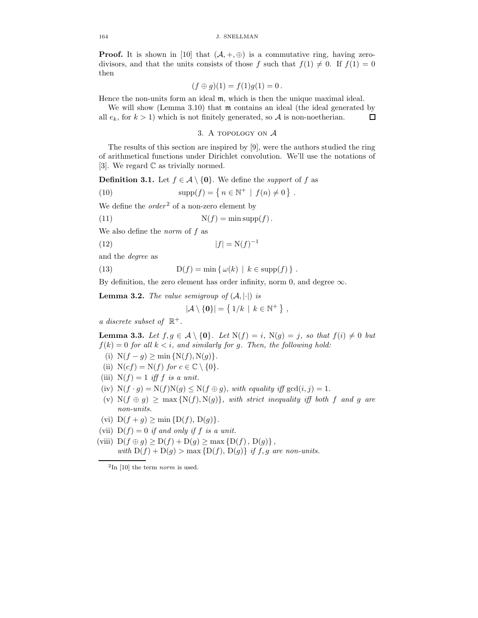**Proof.** It is shown in [10] that  $(A, +, \oplus)$  is a commutative ring, having zerodivisors, and that the units consists of those f such that  $f(1) \neq 0$ . If  $f(1) = 0$ then

$$
(f \oplus g)(1) = f(1)g(1) = 0.
$$

Hence the non-units form an ideal m, which is then the unique maximal ideal.

We will show (Lemma 3.10) that  $m$  contains an ideal (the ideal generated by all  $e_k$ , for  $k > 1$ ) which is not finitely generated, so A is non-noetherian. 口

## 3. A topology on A

The results of this section are inspired by [9], were the authors studied the ring of arithmetical functions under Dirichlet convolution. We'll use the notations of [3]. We regard  $\mathbb C$  as trivially normed.

**Definition 3.1.** Let  $f \in \mathcal{A} \setminus \{0\}$ . We define the *support* of f as

(10) 
$$
supp(f) = \{ n \in \mathbb{N}^+ \mid f(n) \neq 0 \} .
$$

We define the  $order<sup>2</sup>$  of a non-zero element by

(11) 
$$
N(f) = \min \mathrm{supp}(f).
$$

We also define the *norm* of  $f$  as

$$
(12)\qquad \qquad |f| = \mathcal{N}(f)^{-1}
$$

and the degree as

(13) 
$$
D(f) = \min \{ \omega(k) \mid k \in \text{supp}(f) \}.
$$

By definition, the zero element has order infinity, norm 0, and degree  $\infty$ .

**Lemma 3.2.** The value semigroup of  $(A, |\cdot|)$  is

$$
|\mathcal{A}\setminus\{\mathbf{0}\}|=\left\{\,1/k\,\mid\,k\in\mathbb{N}^+\,\right\}\,,
$$

a discrete subset of  $\mathbb{R}^+$ .

**Lemma 3.3.** Let  $f, g \in \mathcal{A} \setminus \{0\}$ . Let  $N(f) = i$ ,  $N(g) = j$ , so that  $f(i) \neq 0$  but  $f(k) = 0$  for all  $k < i$ , and similarly for g. Then, the following hold:

- (i)  $N(f g) \ge \min \{N(f), N(g)\}.$
- (ii)  $N(cf) = N(f)$  for  $c \in \mathbb{C} \setminus \{0\}.$
- (iii)  $N(f) = 1$  iff f is a unit.
- (iv)  $N(f \cdot g) = N(f)N(g) \leq N(f \oplus g)$ , with equality iff  $gcd(i, j) = 1$ .
- (v)  $N(f \oplus g) \ge \max\{N(f), N(g)\}\$ , with strict inequality iff both f and g are non-units.
- (vi)  $D(f + g) \ge \min \{D(f), D(g)\}.$
- (vii)  $D(f) = 0$  if and only if f is a unit.
- (viii)  $D(f \oplus g) \ge D(f) + D(g) \ge \max \{D(f), D(g)\},$ with  $D(f) + D(g) > \max\{D(f), D(g)\}\$ if f, g are non-units.

 $2\text{In } [10]$  the term norm is used.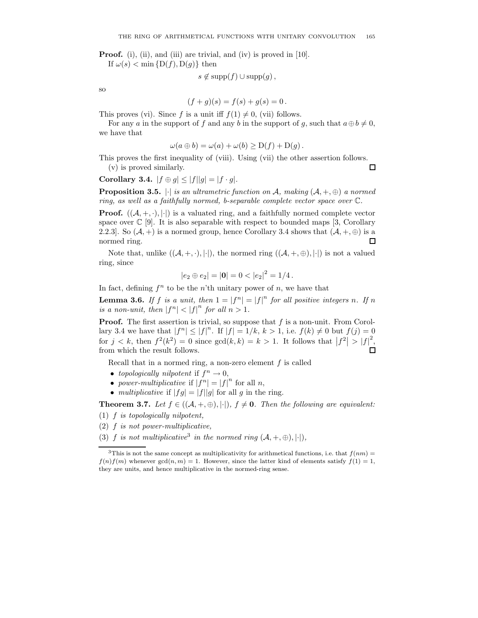**Proof.** (i), (ii), and (iii) are trivial, and (iv) is proved in [10].

If  $\omega(s) < \min\{D(f), D(g)\}\$  then

$$
s \notin \mathrm{supp}(f) \cup \mathrm{supp}(g)\,,
$$

so

$$
(f+g)(s) = f(s) + g(s) = 0.
$$

This proves (vi). Since f is a unit iff  $f(1) \neq 0$ , (vii) follows.

For any a in the support of f and any b in the support of g, such that  $a \oplus b \neq 0$ , we have that

$$
\omega(a \oplus b) = \omega(a) + \omega(b) \ge D(f) + D(g).
$$

This proves the first inequality of (viii). Using (vii) the other assertion follows. (v) is proved similarly.  $\Box$ 

Corollary 3.4.  $|f \oplus g| \leq |f||g| = |f \cdot g|$ .

**Proposition 3.5.**  $|\cdot|$  is an ultrametric function on A, making  $(A, +, \oplus)$  a normed ring, as well as a faithfully normed, b-separable complete vector space over C.

**Proof.**  $((A, +, \cdot), \cdot)$  is a valuated ring, and a faithfully normed complete vector space over  $\mathbb{C}$  [9]. It is also separable with respect to bounded maps [3, Corollary 2.2.3]. So  $(A, +)$  is a normed group, hence Corollary 3.4 shows that  $(A, +, \oplus)$  is a normed ring.  $\Box$ 

Note that, unlike  $((\mathcal{A}, +, \cdot), |\cdot|)$ , the normed ring  $((\mathcal{A}, +, \oplus), |\cdot|)$  is not a valued ring, since

$$
|e_2 \oplus e_2| = |\mathbf{0}| = 0 < |e_2|^2 = 1/4.
$$

In fact, defining  $f^n$  to be the n'th unitary power of n, we have that

**Lemma 3.6.** If f is a unit, then  $1 = |f^n| = |f|^n$  for all positive integers n. If n is a non-unit, then  $|f^n| < |f|^n$  for all  $n > 1$ .

**Proof.** The first assertion is trivial, so suppose that  $f$  is a non-unit. From Corollary 3.4 we have that  $|f^n| \leq |f|^n$ . If  $|f| = 1/k$ ,  $k > 1$ , i.e.  $f(k) \neq 0$  but  $f(j) = 0$ for  $j < k$ , then  $f^2(k^2) = 0$  since  $gcd(k, k) = k > 1$ . It follows that  $|f^2| > |f|^2$ , from which the result follows.

Recall that in a normed ring, a non-zero element f is called

- topologically nilpotent if  $f^n \to 0$ ,
- power-multiplicative if  $|f^n| = |f|^n$  for all n,
- multiplicative if  $|fg| = |f||g|$  for all g in the ring.

**Theorem 3.7.** Let  $f \in ((A, +, \oplus), |\cdot|), f \neq 0$ . Then the following are equivalent:

 $(1)$  f is topologically nilpotent,

- $(2)$  f is not power-multiplicative,
- (3) f is not multiplicative<sup>3</sup> in the normed ring  $(A, +, \oplus), |\cdot|$ ,

<sup>&</sup>lt;sup>3</sup>This is not the same concept as multiplicativity for arithmetical functions, i.e. that  $f(nm) =$  $f(n)f(m)$  whenever  $gcd(n, m) = 1$ . However, since the latter kind of elements satisfy  $f(1) = 1$ , they are units, and hence multiplicative in the normed-ring sense.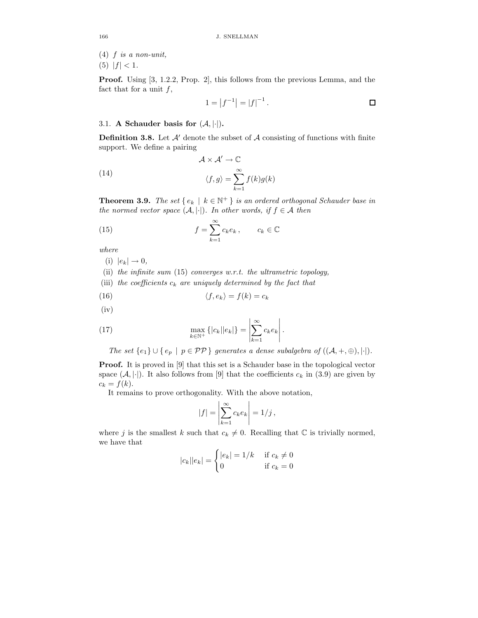$(4)$  f is a non-unit,

(5)  $|f| < 1$ .

Proof. Using [3, 1.2.2, Prop. 2], this follows from the previous Lemma, and the fact that for a unit  $f$ ,

$$
1 = |f^{-1}| = |f|^{-1}.
$$

## 3.1. A Schauder basis for  $(A, |\cdot|)$ .

**Definition 3.8.** Let  $\mathcal{A}'$  denote the subset of  $\mathcal{A}$  consisting of functions with finite support. We define a pairing

(14) 
$$
\mathcal{A} \times \mathcal{A}' \to \mathbb{C}
$$

$$
\langle f, g \rangle = \sum_{k=1}^{\infty} f(k)g(k)
$$

**Theorem 3.9.** The set  $\{e_k \mid k \in \mathbb{N}^+\}$  is an ordered orthogonal Schauder base in the normed vector space  $(A, |\cdot|)$ . In other words, if  $f \in A$  then

(15) 
$$
f = \sum_{k=1}^{\infty} c_k e_k, \qquad c_k \in \mathbb{C}
$$

where

(i)  $|e_k| \rightarrow 0$ ,

(ii) the infinite sum  $(15)$  converges w.r.t. the ultrametric topology,

(iii) the coefficients  $c_k$  are uniquely determined by the fact that

$$
\langle f, e_k \rangle = f(k) = c_k
$$

(iv)

(17) 
$$
\max_{k \in \mathbb{N}^+} \{|c_k||e_k|\} = \left|\sum_{k=1}^{\infty} c_k e_k\right|.
$$

The set  $\{e_1\} \cup \{e_p \mid p \in \mathcal{PP}\}\$  generates a dense subalgebra of  $((\mathcal{A}, +, \oplus), |\cdot|).$ 

Proof. It is proved in [9] that this set is a Schauder base in the topological vector space  $(\mathcal{A}, \{\cdot\})$ . It also follows from [9] that the coefficients  $c_k$  in (3.9) are given by  $c_k = f(k)$ .

It remains to prove orthogonality. With the above notation,

$$
|f| = \left| \sum_{k=1}^{\infty} c_k e_k \right| = 1/j,
$$

where j is the smallest k such that  $c_k \neq 0$ . Recalling that  $\mathbb C$  is trivially normed, we have that

$$
|c_k||e_k| = \begin{cases} |e_k| = 1/k & \text{if } c_k \neq 0\\ 0 & \text{if } c_k = 0 \end{cases}
$$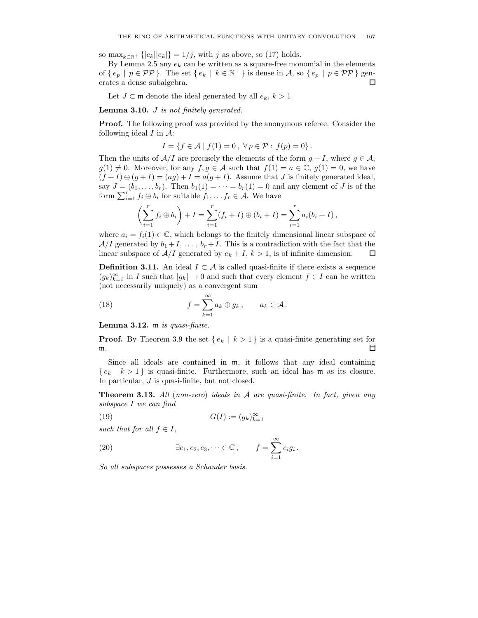so max $_{k \in \mathbb{N}^+} \{|c_k||e_k|\} = 1/j$ , with j as above, so (17) holds.

By Lemma 2.5 any  $e_k$  can be written as a square-free monomial in the elements of  $\{e_p \mid p \in \mathcal{PP}\}\.$  The set  $\{e_k \mid k \in \mathbb{N}^+\}\.$  is dense in A, so  $\{e_p \mid p \in \mathcal{PP}\}\.$  generates a dense subalgebra.  $\Box$ 

Let  $J \subset \mathfrak{m}$  denote the ideal generated by all  $e_k, k > 1$ .

**Lemma 3.10.**  $J$  is not finitely generated.

Proof. The following proof was provided by the anonymous referee. Consider the following ideal  $I$  in  $\mathcal{A}$ :

$$
I = \{ f \in \mathcal{A} \mid f(1) = 0, \ \forall p \in \mathcal{P} : f(p) = 0 \}.
$$

Then the units of  $A/I$  are precisely the elements of the form  $g + I$ , where  $g \in A$ ,  $g(1) \neq 0$ . Moreover, for any  $f, g \in \mathcal{A}$  such that  $f(1) = a \in \mathbb{C}$ ,  $g(1) = 0$ , we have  $(f+I) \oplus (g+I) = (ag) + I = a(g+I)$ . Assume that J is finitely generated ideal, say  $J = (b_1, \ldots, b_r)$ . Then  $b_1(1) = \cdots = b_r(1) = 0$  and any element of J is of the form  $\sum_{i=1}^r f_i \oplus b_i$  for suitable  $f_1, \ldots, f_r \in \mathcal{A}$ . We have

$$
\left(\sum_{i=1}^r f_i \oplus b_i\right) + I = \sum_{i=1}^r (f_i + I) \oplus (b_i + I) = \sum_{i=1}^r a_i (b_i + I),
$$

where  $a_i = f_i(1) \in \mathbb{C}$ , which belongs to the finitely dimensional linear subspace of  $A/I$  generated by  $b_1 + I$ , ...,  $b_r + I$ . This is a contradiction with the fact that the linear subspace of  $A/I$  generated by  $e_k + I$ ,  $k > 1$ , is of infinite dimension.  $\Box$ 

**Definition 3.11.** An ideal  $I \subset \mathcal{A}$  is called quasi-finite if there exists a sequence  $(g_k)_{k=1}^{\infty}$  in I such that  $|g_k| \to 0$  and such that every element  $f \in I$  can be written (not necessarily uniquely) as a convergent sum

(18) 
$$
f = \sum_{k=1}^{\infty} a_k \oplus g_k, \qquad a_k \in \mathcal{A}.
$$

Lemma 3.12. m is quasi-finite.

**Proof.** By Theorem 3.9 the set  $\{e_k \mid k \geq 1\}$  is a quasi-finite generating set for  $\Box$ m.

Since all ideals are contained in m, it follows that any ideal containing  $\{e_k | k > 1\}$  is quasi-finite. Furthermore, such an ideal has m as its closure. In particular, J is quasi-finite, but not closed.

**Theorem 3.13.** All (non-zero) ideals in  $A$  are quasi-finite. In fact, given any subspace I we can find

$$
(19) \tG(I) := (g_k)_{k=1}^{\infty}
$$

such that for all  $f \in I$ ,

(20) 
$$
\exists c_1, c_2, c_3, \dots \in \mathbb{C}, \qquad f = \sum_{i=1}^{\infty} c_i g_i.
$$

So all subspaces possesses a Schauder basis.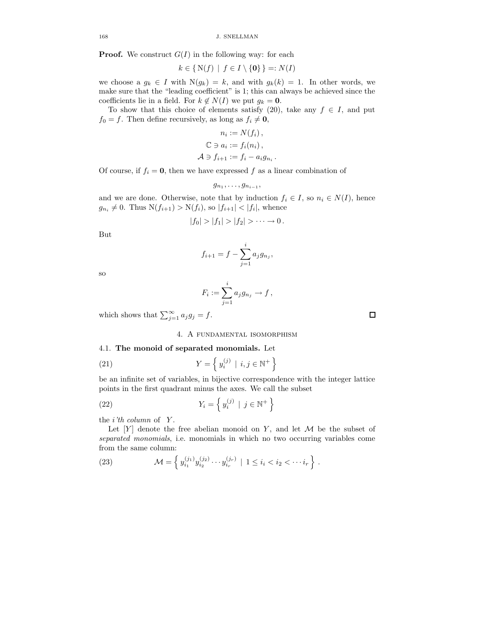168 J. SNELLMAN

**Proof.** We construct  $G(I)$  in the following way: for each

$$
k \in \{N(f) \mid f \in I \setminus \{0\}\} =: N(I)
$$

we choose a  $q_k \in I$  with  $N(q_k) = k$ , and with  $q_k(k) = 1$ . In other words, we make sure that the "leading coefficient" is 1; this can always be achieved since the coefficients lie in a field. For  $k \notin N(I)$  we put  $g_k = 0$ .

To show that this choice of elements satisfy (20), take any  $f \in I$ , and put  $f_0 = f$ . Then define recursively, as long as  $f_i \neq \mathbf{0}$ ,

$$
n_i := N(f_i),
$$
  
\n
$$
\mathbb{C} \ni a_i := f_i(n_i),
$$
  
\n
$$
\mathcal{A} \ni f_{i+1} := f_i - a_i g_{n_i}.
$$

Of course, if  $f_i = 0$ , then we have expressed f as a linear combination of

 $g_{n_1}, \ldots, g_{n_{i-1}},$ 

and we are done. Otherwise, note that by induction  $f_i \in I$ , so  $n_i \in N(I)$ , hence  $g_{n_i} \neq 0$ . Thus  $N(f_{i+1}) > N(f_i)$ , so  $|f_{i+1}| < |f_i|$ , whence

$$
|f_0|>|f_1|>|f_2|>\cdots\to 0.
$$

But

$$
f_{i+1} = f - \sum_{j=1}^{i} a_j g_{n_j},
$$

so

$$
F_i := \sum_{j=1}^i a_j g_{n_j} \to f\,,
$$

which shows that  $\sum_{j=1}^{\infty} a_j g_j = f$ .

4. A fundamental isomorphism

### 4.1. The monoid of separated monomials. Let

(21) 
$$
Y = \left\{ y_i^{(j)} \mid i, j \in \mathbb{N}^+ \right\}
$$

be an infinite set of variables, in bijective correspondence with the integer lattice points in the first quadrant minus the axes. We call the subset

(22) 
$$
Y_i = \left\{ y_i^{(j)} \mid j \in \mathbb{N}^+ \right\}
$$

the  $i'th$  column of  $Y$ .

Let  $[Y]$  denote the free abelian monoid on Y, and let  $M$  be the subset of separated monomials, i.e. monomials in which no two occurring variables come from the same column:

(23) 
$$
\mathcal{M} = \left\{ y_{i_1}^{(j_1)} y_{i_2}^{(j_2)} \cdots y_{i_r}^{(j_r)} \mid 1 \leq i_i < i_2 < \cdots i_r \right\}.
$$

口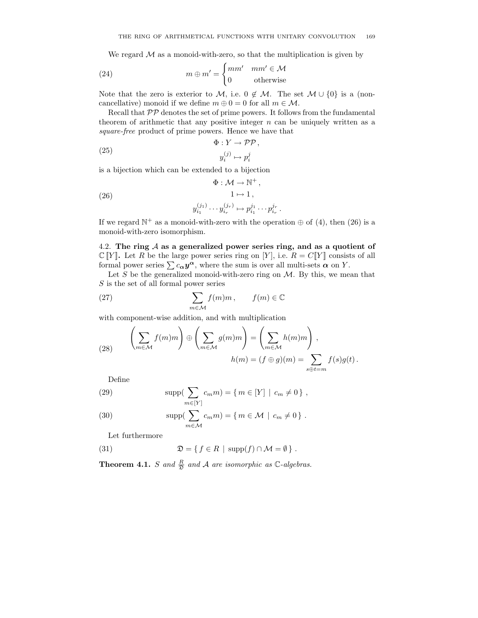We regard  $\mathcal M$  as a monoid-with-zero, so that the multiplication is given by

(24) 
$$
m \oplus m' = \begin{cases} mm' & mm' \in \mathcal{M} \\ 0 & \text{otherwise} \end{cases}
$$

Note that the zero is exterior to M, i.e.  $0 \notin M$ . The set  $M \cup \{0\}$  is a (noncancellative) monoid if we define  $m \oplus 0 = 0$  for all  $m \in \mathcal{M}$ .

Recall that  $\mathcal{PP}$  denotes the set of prime powers. It follows from the fundamental theorem of arithmetic that any positive integer  $n$  can be uniquely written as a square-free product of prime powers. Hence we have that

(25) 
$$
\Phi: Y \to \mathcal{PP},
$$

$$
y_i^{(j)} \mapsto p_i^j
$$

is a bijection which can be extended to a bijection

(26) 
$$
\Phi: \mathcal{M} \to \mathbb{N}^+,
$$

$$
1 \mapsto 1,
$$

$$
y_{i_1}^{(j_1)} \cdots y_{i_r}^{(j_r)} \mapsto p_{i_1}^{j_1} \cdots p_{i_r}^{j_r}
$$

If we regard  $\mathbb{N}^+$  as a monoid-with-zero with the operation  $\oplus$  of (4), then (26) is a monoid-with-zero isomorphism.

.

4.2. The ring  $A$  as a generalized power series ring, and as a quotient of  $\mathbb{C}[Y]$ . Let R be the large power series ring on [Y], i.e.  $R = C[Y]$  consists of all formal power series  $\sum c_{\alpha} y^{\alpha}$ , where the sum is over all multi-sets  $\alpha$  on Y.

Let  $S$  be the generalized monoid-with-zero ring on  $M$ . By this, we mean that S is the set of all formal power series

(27) 
$$
\sum_{m \in \mathcal{M}} f(m)m, \qquad f(m) \in \mathbb{C}
$$

with component-wise addition, and with multiplication

(28) 
$$
\left(\sum_{m \in \mathcal{M}} f(m)m\right) \oplus \left(\sum_{m \in \mathcal{M}} g(m)m\right) = \left(\sum_{m \in \mathcal{M}} h(m)m\right),
$$

$$
h(m) = (f \oplus g)(m) = \sum_{s \oplus t=m} f(s)g(t).
$$

Define

(29) 
$$
\sup \left( \sum_{m \in [Y]} c_m m \right) = \{ m \in [Y] \mid c_m \neq 0 \},
$$

(30) 
$$
\sup p(\sum_{m\in\mathcal{M}}c_m m)=\{m\in\mathcal{M}\mid c_m\neq 0\}.
$$

Let furthermore

(31) 
$$
\mathfrak{D} = \{ f \in R \mid \mathrm{supp}(f) \cap \mathcal{M} = \emptyset \}.
$$

**Theorem 4.1.** S and  $\frac{R}{2}$  and A are isomorphic as  $\mathbb{C}$ -algebras.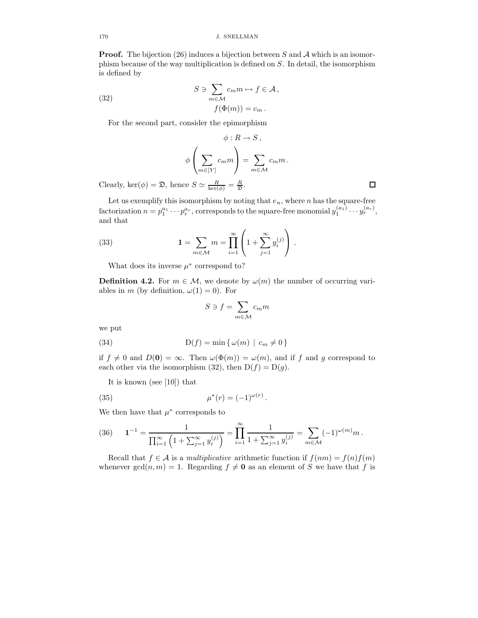**Proof.** The bijection (26) induces a bijection between S and A which is an isomorphism because of the way multiplication is defined on S. In detail, the isomorphism is defined by

(32) 
$$
S \ni \sum_{m \in \mathcal{M}} c_m m \mapsto f \in \mathcal{A},
$$

$$
f(\Phi(m)) = c_m.
$$

For the second part, consider the epimorphism

$$
\phi: R \to S,
$$
  

$$
\phi\left(\sum_{m \in [Y]} c_m m\right) = \sum_{m \in \mathcal{M}} c_m m.
$$

Clearly, ker( $\phi$ ) =  $\mathfrak{D}$ , hence  $S \simeq \frac{R}{\ker(\phi)} = \frac{R}{\mathfrak{D}}$ .

Let us exemplify this isomorphism by noting that  $e_n$ , where n has the square-free factorization  $n = p_1^{a_1} \cdots p_r^{a_r}$ , corresponds to the square-free monomial  $y_1^{(a_1)} \cdots y_r^{(a_r)}$ , and that

(33) 
$$
1 = \sum_{m \in \mathcal{M}} m = \prod_{i=1}^{\infty} \left( 1 + \sum_{j=1}^{\infty} y_i^{(j)} \right).
$$

What does its inverse  $\mu^*$  correspond to?

**Definition 4.2.** For  $m \in \mathcal{M}$ , we denote by  $\omega(m)$  the number of occurring variables in m (by definition,  $\omega(1) = 0$ ). For

$$
S \ni f = \sum_{m \in \mathcal{M}} c_m m
$$

we put

(34) 
$$
D(f) = \min \{ \omega(m) \mid c_m \neq 0 \}
$$

if  $f \neq 0$  and  $D(0) = \infty$ . Then  $\omega(\Phi(m)) = \omega(m)$ , and if f and g correspond to each other via the isomorphism (32), then  $D(f) = D(g)$ .

It is known (see [10]) that

(35) 
$$
\mu^*(r) = (-1)^{\omega(r)}.
$$

We then have that  $\mu^*$  corresponds to

(36) 
$$
\mathbf{1}^{-1} = \frac{1}{\prod_{i=1}^{\infty} \left(1 + \sum_{j=1}^{\infty} y_i^{(j)}\right)} = \prod_{i=1}^{\infty} \frac{1}{1 + \sum_{j=1}^{\infty} y_i^{(j)}} = \sum_{m \in \mathcal{M}} (-1)^{\omega(m)} m.
$$

Recall that  $f \in \mathcal{A}$  is a multiplicative arithmetic function if  $f(nm) = f(n)f(m)$ whenever  $gcd(n, m) = 1$ . Regarding  $f \neq 0$  as an element of S we have that f is

 $\Box$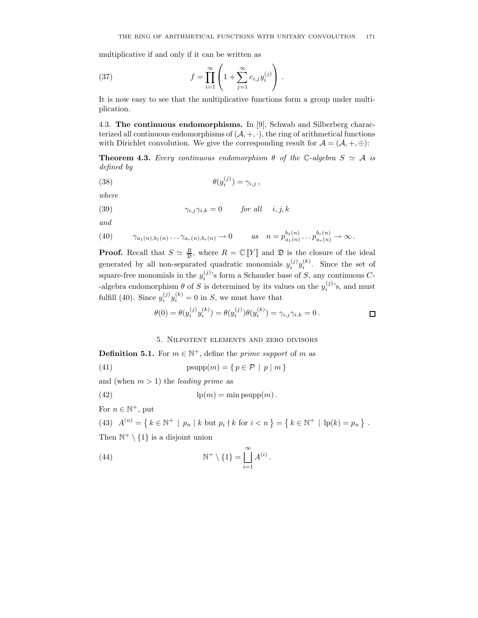multiplicative if and only if it can be written as

(37) 
$$
f = \prod_{i=1}^{\infty} \left( 1 + \sum_{j=1}^{\infty} c_{i,j} y_i^{(j)} \right).
$$

It is now easy to see that the multiplicative functions form a group under multiplication.

4.3. The continuous endomorphisms. In [9], Schwab and Silberberg characterized all continuous endomorphisms of  $(A, +, \cdot)$ , the ring of arithmetical functions with Dirichlet convolution. We give the corresponding result for  $\mathcal{A} = (\mathcal{A}, +, \oplus)$ :

**Theorem 4.3.** Every continuous endomorphism  $\theta$  of the C-algebra  $S \simeq A$  is defined by

(38) 
$$
\theta(y_i^{(j)}) = \gamma_{i,j},
$$

where

(39) 
$$
\gamma_{i,j}\gamma_{i,k} = 0 \quad \text{for all} \quad i,j,k
$$

and

(40) 
$$
\gamma_{a_1(n),b_1(n)} \cdots \gamma_{a_r(n),b_r(n)} \to 0 \quad as \quad n = p_{a_1(n)}^{b_1(n)} \cdots p_{a_r(n)}^{b_r(n)} \to \infty.
$$

**Proof.** Recall that  $S \simeq \frac{R}{2}$ , where  $R = \mathbb{C}[Y]$  and  $\mathfrak{D}$  is the closure of the ideal generated by all non-separated quadratic monomials  $y_i^{(j)}y_i^{(k)}$ . Since the set of square-free monomials in the  $y_i^{(j)}$ 's form a Schauder base of S, any continuous C--algebra endomorphism  $\theta$  of S is determined by its values on the  $y_i^{(j)}$ 's, and must fulfill (40). Since  $y_i^{(j)}y_i^{(k)} = 0$  in S, we must have that

$$
\theta(0) = \theta(y_i^{(j)} y_i^{(k)}) = \theta(y_i^{(j)})\theta(y_i^{(k)}) = \gamma_{i,j}\gamma_{i,k} = 0.
$$

5. Nilpotent elements and zero divisors

**Definition 5.1.** For  $m \in \mathbb{N}^+$ , define the *prime support* of m as

(41) 
$$
psupp(m) = \{ p \in \mathcal{P} \mid p \mid m \}
$$

and (when  $m > 1$ ) the *leading prime* as

(42) 
$$
\qquad \qquad \text{lp}(m) = \min \text{psupp}(m) \, .
$$

For  $n \in \mathbb{N}^+$ , put

(43) 
$$
A^{(n)} = \{ k \in \mathbb{N}^+ \mid p_n \mid k \text{ but } p_i \nmid k \text{ for } i < n \} = \{ k \in \mathbb{N}^+ \mid \text{lp}(k) = p_n \}.
$$

Then  $\mathbb{N}^+ \setminus \{1\}$  is a disjoint union

(44) 
$$
\mathbb{N}^+ \setminus \{1\} = \bigcup_{i=1}^{\infty} A^{(i)}.
$$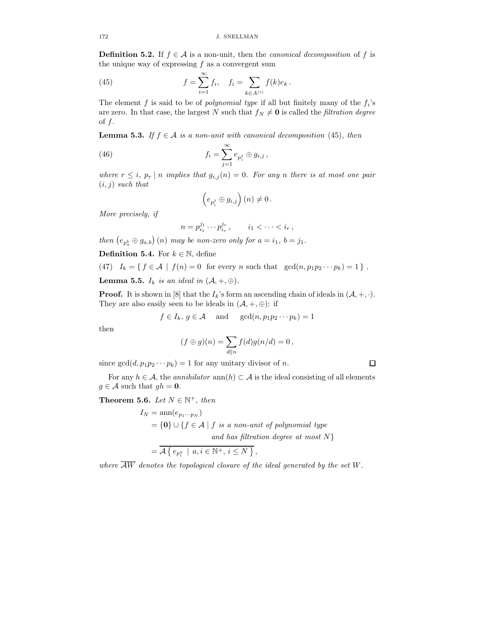**Definition 5.2.** If  $f \in \mathcal{A}$  is a non-unit, then the *canonical decomposition* of f is the unique way of expressing  $f$  as a convergent sum

(45) 
$$
f = \sum_{i=1}^{\infty} f_i, \quad f_i = \sum_{k \in A^{(i)}} f(k) e_k.
$$

The element f is said to be of *polynomial type* if all but finitely many of the  $f_i$ 's are zero. In that case, the largest N such that  $f_N \neq 0$  is called the *filtration degree* of  $f$ .

**Lemma 5.3.** If  $f \in A$  is a non-unit with canonical decomposition (45), then

(46) 
$$
f_i = \sum_{j=1}^{\infty} e_{p_i^j} \oplus g_{i,j},
$$

where  $r \leq i$ ,  $p_r | n$  implies that  $g_{i,j}(n) = 0$ . For any n there is at most one pair  $(i, j)$  such that

$$
\left(e_{p_i^j}\oplus g_{i,j}\right)(n)\neq 0\,.
$$

More precisely, if

$$
n = p_{i_1}^{j_1} \cdots p_{i_r}^{j_r}, \qquad i_1 < \cdots < i_r,
$$

then  $(e_{p_a^b} \oplus g_{a,b})$  (n) may be non-zero only for  $a = i_1, b = j_1$ .

**Definition 5.4.** For  $k \in \mathbb{N}$ , define

(47) 
$$
I_k = \{ f \in \mathcal{A} \mid f(n) = 0 \text{ for every } n \text{ such that } \gcd(n, p_1 p_2 \cdots p_k) = 1 \}
$$
.

**Lemma 5.5.**  $I_k$  is an ideal in  $(A, +, \oplus)$ .

**Proof.** It is shown in [8] that the  $I_k$ 's form an ascending chain of ideals in  $(A, +, \cdot)$ . They are also easily seen to be ideals in  $(\mathcal{A}, +, \oplus)$ : if

$$
f \in I_k
$$
,  $g \in \mathcal{A}$  and  $gcd(n, p_1p_2 \cdots p_k) = 1$ 

then

$$
(f \oplus g)(n) = \sum_{d \parallel n} f(d)g(n/d) = 0,
$$

since  $gcd(d, p_1p_2\cdots p_k) = 1$  for any unitary divisor of n.

For any  $h \in \mathcal{A}$ , the *annihilator* ann $(h) \subset \mathcal{A}$  is the ideal consisting of all elements  $g \in \mathcal{A}$  such that  $gh = 0$ .

Theorem 5.6. Let  $N \in \mathbb{N}^+$ , then

 $I_N = \text{ann}(e_{n_1\cdots n_N})$  $=\{0\} \cup \{f \in \mathcal{A} \mid f \text{ is a non-unit of polynomial type }\}$ and has filtration degree at most  $N$ }  $= \mathcal{A} \left\{ e_{p_i^a} \mid a, i \in \mathbb{N}^+, i \leq N \right\},\$ 

where  $\overline{AW}$  denotes the topological closure of the ideal generated by the set W.

 $\Box$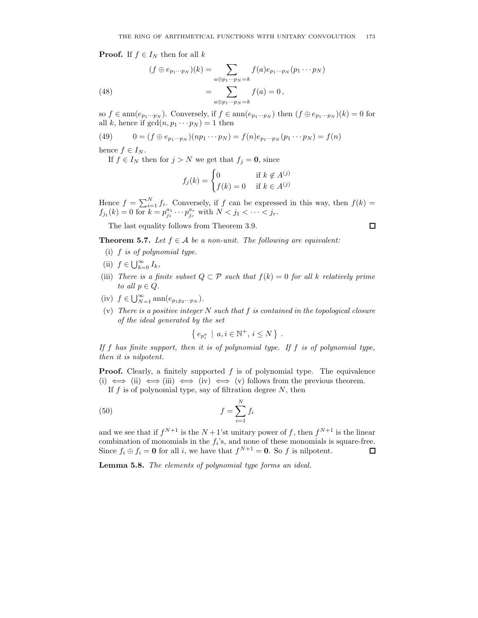**Proof.** If  $f \in I_N$  then for all k

(48) 
$$
(f \oplus e_{p_1 \cdots p_N})(k) = \sum_{a \oplus p_1 \cdots p_N = k} f(a)e_{p_1 \cdots p_N}(p_1 \cdots p_N)
$$

$$
= \sum_{a \oplus p_1 \cdots p_N = k} f(a) = 0,
$$

so  $f \in \text{ann}(e_{p_1\cdots p_N})$ . Conversely, if  $f \in \text{ann}(e_{p_1\cdots p_N})$  then  $(f \oplus e_{p_1\cdots p_N})(k) = 0$  for all k, hence if  $gcd(n, p_1 \cdots p_N) = 1$  then

(49) 
$$
0 = (f \oplus e_{p_1 \cdots p_N})(np_1 \cdots p_N) = f(n)e_{p_1 \cdots p_N}(p_1 \cdots p_N) = f(n)
$$

hence  $f \in I_N$ .

If  $f \in I_N$  then for  $j > N$  we get that  $f_j = 0$ , since

$$
f_j(k) = \begin{cases} 0 & \text{if } k \notin A^{(j)} \\ f(k) = 0 & \text{if } k \in A^{(j)} \end{cases}
$$

Hence  $f = \sum_{i=1}^{N} f_i$ . Conversely, if f can be expressed in this way, then  $f(k) =$  $f_{j_1}(k) = 0$  for  $k = p_{j_1}^{a_1} \cdots p_{j_r}^{a_r}$  with  $N < j_1 < \cdots < j_r$ .

 $\Box$ 

The last equality follows from Theorem 3.9.

**Theorem 5.7.** Let  $f \in \mathcal{A}$  be a non-unit. The following are equivalent:

- (i) f is of polynomial type.
- (ii)  $f \in \bigcup_{k=0}^{\infty} I_k$ ,
- (iii) There is a finite subset  $Q \subset \mathcal{P}$  such that  $f(k) = 0$  for all k relatively prime to all  $p \in Q$ .
- (iv)  $f \in \bigcup_{N=1}^{\infty} \text{ann}(e_{p_1p_2\cdots p_N}).$
- (v) There is a positive integer  $N$  such that  $f$  is contained in the topological closure of the ideal generated by the set

$$
\left\{\,e_{p_i^a}\,\mid\,a,i\in\mathbb{N}^+,\,i\leq N\,\right\}\,.
$$

If f has finite support, then it is of polynomial type. If f is of polynomial type, then it is nilpotent.

**Proof.** Clearly, a finitely supported  $f$  is of polynomial type. The equivalence (i)  $\iff$  (ii)  $\iff$  (iii)  $\iff$  (iv)  $\iff$  (v) follows from the previous theorem.

If  $f$  is of polynomial type, say of filtration degree  $N$ , then

$$
(50)\qquad \qquad f = \sum_{i=1}^{N} f_i
$$

and we see that if  $f^{N+1}$  is the  $N+1$ 'st unitary power of f, then  $f^{N+1}$  is the linear combination of monomials in the  $f_i$ 's, and none of these monomials is square-free. Since  $f_i \oplus f_j = \mathbf{0}$  for all i, we have that  $f^{N+1} = \mathbf{0}$ . So f is nilpotent.  $\Box$ 

Lemma 5.8. The elements of polynomial type forms an ideal.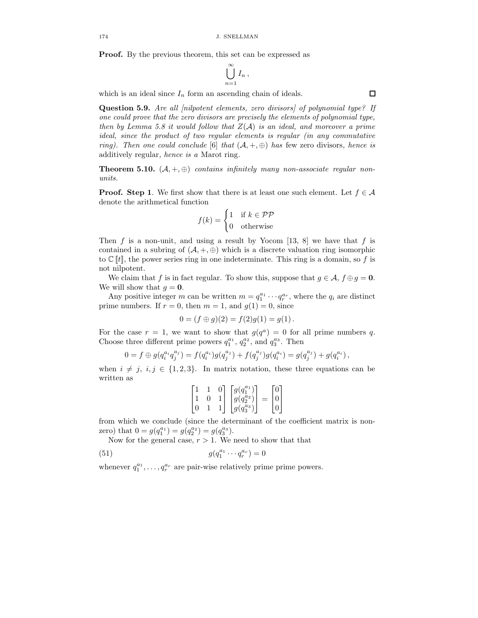Proof. By the previous theorem, this set can be expressed as

$$
\bigcup_{n=1}^{\infty} I_n,
$$

which is an ideal since  $I_n$  form an ascending chain of ideals.

Question 5.9. Are all *[nilpotent elements, zero divisors]* of polynomial type? If one could prove that the zero divisors are precisely the elements of polynomial type, then by Lemma 5.8 it would follow that  $Z(\mathcal{A})$  is an ideal, and moreover a prime ideal, since the product of two regular elements is regular (in any commutative ring). Then one could conclude [6] that  $(A, +, \oplus)$  has few zero divisors, hence is additively regular, hence is a Marot ring.

**Theorem 5.10.**  $(A, +, \oplus)$  contains infinitely many non-associate regular nonunits.

**Proof.** Step 1. We first show that there is at least one such element. Let  $f \in \mathcal{A}$ denote the arithmetical function

$$
f(k) = \begin{cases} 1 & \text{if } k \in \mathcal{PP} \\ 0 & \text{otherwise} \end{cases}
$$

Then f is a non-unit, and using a result by Yocom [13, 8] we have that f is contained in a subring of  $(A, +, \oplus)$  which is a discrete valuation ring isomorphic to  $\mathbb{C}[[t]]$ , the power series ring in one indeterminate. This ring is a domain, so f is not nilpotent.

We claim that f is in fact regular. To show this, suppose that  $g \in A$ ,  $f \oplus g = 0$ . We will show that  $g = 0$ .

Any positive integer m can be written  $m = q_1^{a_1} \cdots q_r^{a_r}$ , where the  $q_i$  are distinct prime numbers. If  $r = 0$ , then  $m = 1$ , and  $g(1) = 0$ , since

$$
0 = (f \oplus g)(2) = f(2)g(1) = g(1).
$$

For the case  $r = 1$ , we want to show that  $g(q^a) = 0$  for all prime numbers q. Choose three different prime powers  $q_1^{a_1}$ ,  $q_2^{a_2}$ , and  $q_3^{a_3}$ . Then

$$
0 = f \oplus g(q_i^{a_i} q_j^{a_j}) = f(q_i^{a_i}) g(q_j^{a_j}) + f(q_j^{a_j}) g(q_i^{a_i}) = g(q_j^{a_j}) + g(q_i^{a_i}),
$$

when  $i \neq j$ ,  $i, j \in \{1, 2, 3\}$ . In matrix notation, these three equations can be written as

$$
\begin{bmatrix} 1 & 1 & 0 \\ 1 & 0 & 1 \\ 0 & 1 & 1 \end{bmatrix} \begin{bmatrix} g(q_1^{a_1}) \\ g(q_2^{a_2}) \\ g(q_3^{a_3}) \end{bmatrix} = \begin{bmatrix} 0 \\ 0 \\ 0 \end{bmatrix}
$$

from which we conclude (since the determinant of the coefficient matrix is nonzero) that  $0 = g(q_1^{a_1}) = g(q_2^{a_2}) = g(q_3^{a_3})$ .

Now for the general case,  $r > 1$ . We need to show that that

(51) 
$$
g(q_1^{a_1} \cdots q_r^{a_r}) = 0
$$

whenever  $q_1^{a_1}, \ldots, q_r^{a_r}$  are pair-wise relatively prime prime powers.

 $\Box$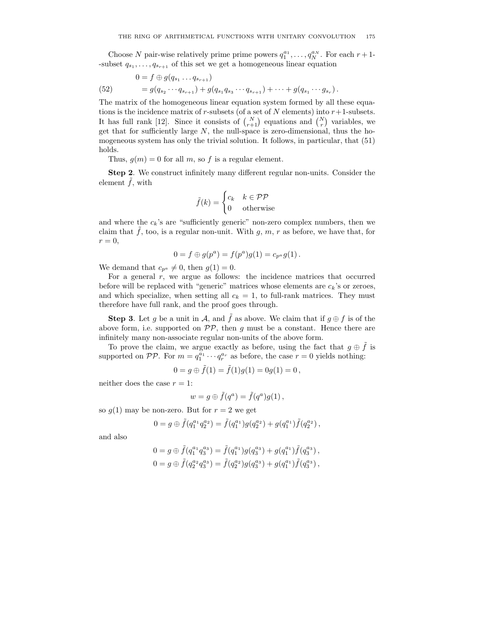Choose N pair-wise relatively prime prime powers  $q_1^{a_1}, \ldots, q_N^{a_N}$ . For each  $r+1$ --subset  $q_{s_1}, \ldots, q_{s_{r+1}}$  of this set we get a homogeneous linear equation

(52) 
$$
0 = f \oplus g(q_{s_1} \dots q_{s_{r+1}})
$$

$$
= g(q_{s_2} \dots q_{s_{r+1}}) + g(q_{s_1}q_{s_3} \dots q_{s_{r+1}}) + \dots + g(q_{s_1} \dots g_{s_r}).
$$

The matrix of the homogeneous linear equation system formed by all these equations is the incidence matrix of r-subsets (of a set of N elements) into  $r+1$ -subsets. It has full rank [12]. Since it consists of  $\binom{N}{r+1}$  equations and  $\binom{N}{r}$  variables, we get that for sufficiently large  $N$ , the null-space is zero-dimensional, thus the homogeneous system has only the trivial solution. It follows, in particular, that (51) holds.

Thus,  $g(m) = 0$  for all m, so f is a regular element.

Step 2. We construct infinitely many different regular non-units. Consider the element  $\tilde{f}$ , with

$$
\tilde{f}(k) = \begin{cases} c_k & k \in \mathcal{PP} \\ 0 & \text{otherwise} \end{cases}
$$

and where the  $c_k$ 's are "sufficiently generic" non-zero complex numbers, then we claim that  $\tilde{f}$ , too, is a regular non-unit. With g, m, r as before, we have that, for  $r=0,$ 

$$
0 = f \oplus g(p^{a}) = f(p^{a})g(1) = c_{p^{a}}g(1).
$$

We demand that  $c_{p^a} \neq 0$ , then  $g(1) = 0$ .

For a general  $r$ , we argue as follows: the incidence matrices that occurred before will be replaced with "generic" matrices whose elements are  $c_k$ 's or zeroes, and which specialize, when setting all  $c_k = 1$ , to full-rank matrices. They must therefore have full rank, and the proof goes through.

**Step 3.** Let g be a unit in A, and  $\tilde{f}$  as above. We claim that if  $g \oplus f$  is of the above form, i.e. supported on  $\mathcal{PP}$ , then g must be a constant. Hence there are infinitely many non-associate regular non-units of the above form.

To prove the claim, we argue exactly as before, using the fact that  $g \oplus \tilde{f}$  is supported on  $\mathcal{PP}$ . For  $m = q_1^{\bar{a}_1} \cdots q_r^{\bar{a}_r}$  as before, the case  $r = 0$  yields nothing:

$$
0 = g \oplus \tilde{f}(1) = \tilde{f}(1)g(1) = 0g(1) = 0,
$$

neither does the case  $r = 1$ :

$$
w = g \oplus \tilde{f}(q^a) = \tilde{f}(q^a)g(1) ,
$$

so  $g(1)$  may be non-zero. But for  $r = 2$  we get

$$
0 = g \oplus \tilde{f}(q_1^{a_1} q_2^{a_2}) = \tilde{f}(q_1^{a_1})g(q_2^{a_2}) + g(q_1^{a_1})\tilde{f}(q_2^{a_2}),
$$

and also

$$
0 = g \oplus \tilde{f}(q_1^{a_1} q_3^{a_3}) = \tilde{f}(q_1^{a_1})g(q_3^{a_3}) + g(q_1^{a_1})\tilde{f}(q_3^{a_3}),
$$
  
\n
$$
0 = g \oplus \tilde{f}(q_2^{a_2} q_3^{a_3}) = \tilde{f}(q_2^{a_2})g(q_3^{a_3}) + g(q_1^{a_1})\tilde{f}(q_3^{a_3}),
$$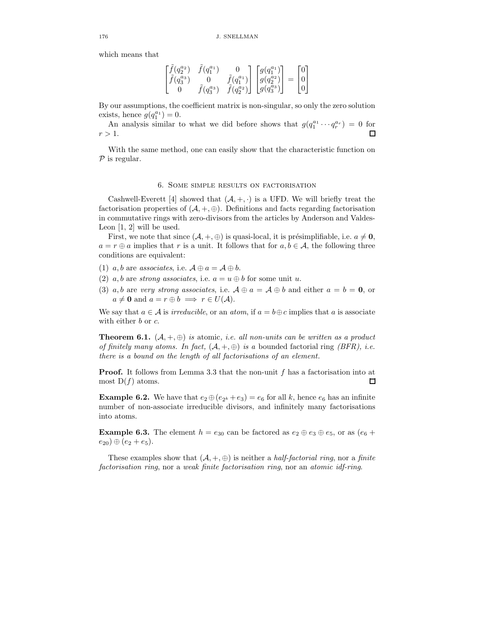which means that

$$
\begin{bmatrix} \tilde{f}(q_2^{a_2}) & \tilde{f}(q_1^{a_1}) & 0 \\ \tilde{f}(q_3^{a_3}) & 0 & \tilde{f}(q_1^{a_1}) \\ 0 & \tilde{f}(q_3^{a_3}) & \tilde{f}(q_2^{a_2}) \end{bmatrix} \begin{bmatrix} g(q_1^{a_1}) \\ g(q_2^{a_2}) \\ g(q_3^{a_3}) \end{bmatrix} = \begin{bmatrix} 0 \\ 0 \\ 0 \end{bmatrix}
$$

By our assumptions, the coefficient matrix is non-singular, so only the zero solution exists, hence  $g(q_1^{a_1}) = 0$ .

An analysis similar to what we did before shows that  $g(q_1^{a_1} \cdots q_r^{a_r}) = 0$  for  $r > 1$ .  $\Box$ 

With the same method, one can easily show that the characteristic function on  $P$  is regular.

#### 6. Some simple results on factorisation

Cashwell-Everett [4] showed that  $(A, +, \cdot)$  is a UFD. We will briefly treat the factorisation properties of  $(\mathcal{A}, +, \oplus)$ . Definitions and facts regarding factorisation in commutative rings with zero-divisors from the articles by Anderson and Valdes-Leon  $[1, 2]$  will be used.

First, we note that since  $(A, +, \oplus)$  is quasi-local, it is présimplifiable, i.e.  $a \neq 0$ ,  $a = r \oplus a$  implies that r is a unit. It follows that for  $a, b \in A$ , the following three conditions are equivalent:

- (1) a, b are associates, i.e.  $\mathcal{A} \oplus a = \mathcal{A} \oplus b$ .
- (2) a, b are strong associates, i.e.  $a = u \oplus b$  for some unit u.
- (3) a, b are very strong associates, i.e.  $\mathcal{A} \oplus a = \mathcal{A} \oplus b$  and either  $a = b = 0$ , or  $a \neq \mathbf{0}$  and  $a = r \oplus b \implies r \in U(\mathcal{A})$ .

We say that  $a \in \mathcal{A}$  is *irreducible*, or an *atom*, if  $a = b \oplus c$  implies that a is associate with either b or c.

**Theorem 6.1.**  $(A, +, \oplus)$  is atomic, i.e. all non-units can be written as a product of finitely many atoms. In fact,  $(A, +, \oplus)$  is a bounded factorial ring (BFR), i.e. there is a bound on the length of all factorisations of an element.

Proof. It follows from Lemma 3.3 that the non-unit f has a factorisation into at most  $D(f)$  atoms.  $\Box$ 

**Example 6.2.** We have that  $e_2 \oplus (e_{2^k} + e_3) = e_6$  for all k, hence  $e_6$  has an infinite number of non-associate irreducible divisors, and infinitely many factorisations into atoms.

**Example 6.3.** The element  $h = e_{30}$  can be factored as  $e_2 \oplus e_3 \oplus e_5$ , or as  $(e_6 + e_7)$  $(e_{20}) \oplus (e_2 + e_5).$ 

These examples show that  $(A, +, \oplus)$  is neither a *half-factorial ring*, nor a *finite* factorisation ring, nor a weak finite factorisation ring, nor an atomic idf-ring.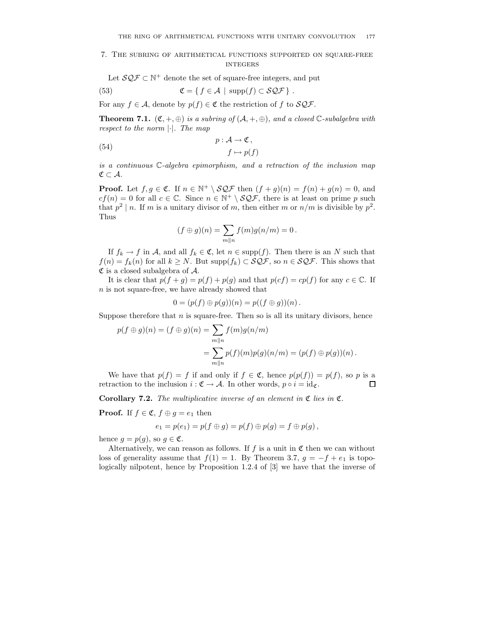## 7. The subring of arithmetical functions supported on square-free **INTEGERS**

Let  $\mathcal{SQF} \subset \mathbb{N}^+$  denote the set of square-free integers, and put

(53) 
$$
\mathfrak{C} = \{ f \in \mathcal{A} \mid \text{supp}(f) \subset \mathcal{SQF} \}.
$$

For any  $f \in \mathcal{A}$ , denote by  $p(f) \in \mathfrak{C}$  the restriction of f to  $\mathcal{SQF}$ .

**Theorem 7.1.**  $(\mathfrak{C}, +, \oplus)$  is a subring of  $(\mathcal{A}, +, \oplus)$ , and a closed  $\mathbb{C}\text{-subalgebra with}$ respect to the norm  $|\cdot|$ . The map

(54) 
$$
p: \mathcal{A} \to \mathfrak{C},
$$

$$
f \mapsto p(f)
$$

is a continuous C-algebra epimorphism, and a retraction of the inclusion map  $\mathfrak{C} \subset \mathcal{A}.$ 

**Proof.** Let  $f, g \in \mathfrak{C}$ . If  $n \in \mathbb{N}^+ \setminus \mathcal{SQF}$  then  $(f + g)(n) = f(n) + g(n) = 0$ , and  $cf(n) = 0$  for all  $c \in \mathbb{C}$ . Since  $n \in \mathbb{N}^+ \setminus \mathcal{SQF}$ , there is at least on prime p such that  $p^2 \mid n$ . If m is a unitary divisor of m, then either m or  $n/m$  is divisible by  $p^2$ . Thus

$$
(f \oplus g)(n) = \sum_{m \parallel n} f(m)g(n/m) = 0.
$$

If  $f_k \to f$  in A, and all  $f_k \in \mathfrak{C}$ , let  $n \in \text{supp}(f)$ . Then there is an N such that  $f(n) = f_k(n)$  for all  $k \geq N$ . But supp $(f_k) \subset \mathcal{SQF}$ , so  $n \in \mathcal{SQF}$ . This shows that  $\mathfrak C$  is a closed subalgebra of  $\mathcal A$ .

It is clear that  $p(f + g) = p(f) + p(g)$  and that  $p(cf) = cp(f)$  for any  $c \in \mathbb{C}$ . If n is not square-free, we have already showed that

$$
0 = (p(f) \oplus p(g))(n) = p((f \oplus g))(n).
$$

Suppose therefore that  $n$  is square-free. Then so is all its unitary divisors, hence

$$
p(f \oplus g)(n) = (f \oplus g)(n) = \sum_{m \parallel n} f(m)g(n/m)
$$
  
= 
$$
\sum_{m \parallel n} p(f)(m)p(g)(n/m) = (p(f) \oplus p(g))(n).
$$

We have that  $p(f) = f$  if and only if  $f \in \mathfrak{C}$ , hence  $p(p(f)) = p(f)$ , so p is a retraction to the inclusion  $i : \mathfrak{C} \to \mathcal{A}$ . In other words,  $p \circ i = id_{\mathfrak{C}}$ .  $\Box$ 

**Corollary 7.2.** The multiplicative inverse of an element in  $\mathfrak{C}$  lies in  $\mathfrak{C}$ .

**Proof.** If  $f \in \mathfrak{C}$ ,  $f \oplus g = e_1$  then

$$
e_1=p(e_1)=p(f\oplus g)=p(f)\oplus p(g)=f\oplus p(g),
$$

hence  $q = p(q)$ , so  $q \in \mathfrak{C}$ .

Alternatively, we can reason as follows. If  $f$  is a unit in  $\mathfrak C$  then we can without loss of generality assume that  $f(1) = 1$ . By Theorem 3.7,  $g = -f + e_1$  is topologically nilpotent, hence by Proposition 1.2.4 of [3] we have that the inverse of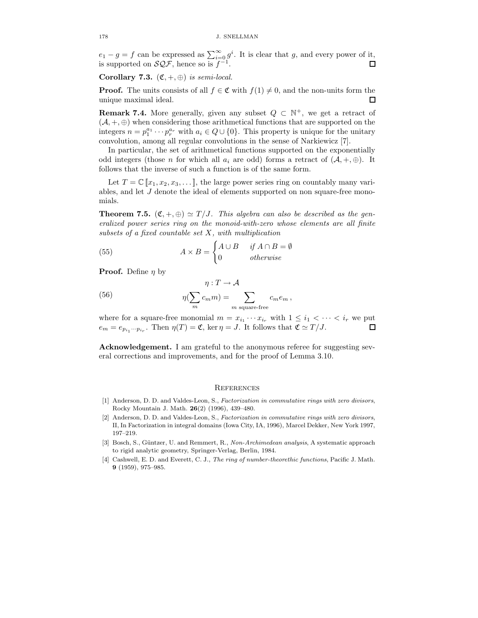$e_1 - g = f$  can be expressed as  $\sum_{i=0}^{\infty} g^i$ . It is clear that g, and every power of it, is supported on  $\mathcal{SQF}$ , hence so is  $f^{-1}$ .  $\Box$ 

Corollary 7.3.  $(\mathfrak{C}, +, \oplus)$  is semi-local.

**Proof.** The units consists of all  $f \in \mathfrak{C}$  with  $f(1) \neq 0$ , and the non-units form the  $\Box$ unique maximal ideal.

**Remark 7.4.** More generally, given any subset  $Q \subset \mathbb{N}^+$ , we get a retract of  $(\mathcal{A}, +, \oplus)$  when considering those arithmetical functions that are supported on the integers  $n = p_1^{a_1} \cdots p_r^{a_r}$  with  $a_i \in Q \cup \{0\}$ . This property is unique for the unitary convolution, among all regular convolutions in the sense of Narkiewicz [7].

In particular, the set of arithmetical functions supported on the exponentially odd integers (those n for which all  $a_i$  are odd) forms a retract of  $(A, +, \oplus)$ . It follows that the inverse of such a function is of the same form.

Let  $T = \mathbb{C} [x_1, x_2, x_3, \dots]$ , the large power series ring on countably many variables, and let J denote the ideal of elements supported on non square-free monomials.

**Theorem 7.5.**  $(\mathfrak{C}, +, \oplus) \simeq T/J$ . This algebra can also be described as the generalized power series ring on the monoid-with-zero whose elements are all finite subsets of a fixed countable set  $X$ , with multiplication

(55) 
$$
A \times B = \begin{cases} A \cup B & \text{if } A \cap B = \emptyset \\ 0 & \text{otherwise} \end{cases}
$$

**Proof.** Define  $\eta$  by

(56) 
$$
\eta: T \to \mathcal{A}
$$

$$
\eta(\sum_{m} c_m m) = \sum_{m \text{ square-free}} c_m e_m,
$$

where for a square-free monomial  $m = x_{i_1} \cdots x_{i_r}$  with  $1 \leq i_1 < \cdots < i_r$  we put  $e_m = e_{p_{i_1}\cdots p_{i_r}}$ . Then  $\eta(T) = \mathfrak{C}$ , ker  $\eta = J$ . It follows that  $\mathfrak{C} \simeq T/J$ .  $\Box$ 

Acknowledgement. I am grateful to the anonymous referee for suggesting several corrections and improvements, and for the proof of Lemma 3.10.

#### **REFERENCES**

- [1] Anderson, D. D. and Valdes-Leon, S., Factorization in commutative rings with zero divisors, Rocky Mountain J. Math. 26(2) (1996), 439–480.
- [2] Anderson, D. D. and Valdes-Leon, S., Factorization in commutative rings with zero divisors, II, In Factorization in integral domains (Iowa City, IA, 1996), Marcel Dekker, New York 1997, 197–219.
- [3] Bosch, S., Güntzer, U. and Remmert, R., Non-Archimedean analysis, A systematic approach to rigid analytic geometry, Springer-Verlag, Berlin, 1984.
- [4] Cashwell, E. D. and Everett, C. J., The ring of number-theorethic functions, Pacific J. Math. 9 (1959), 975–985.